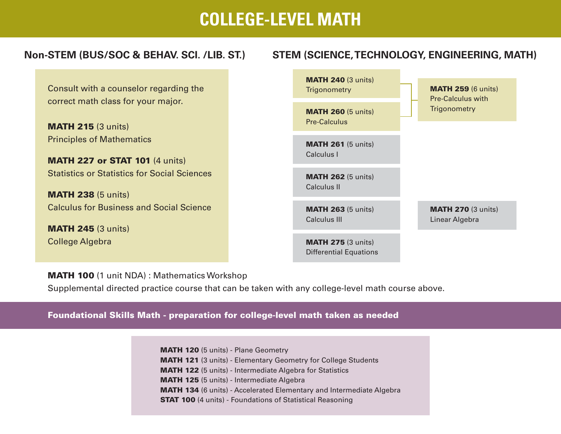# **COLLEGE-LEVEL MATH**

#### **Non-STEM (BUS/SOC & BEHAV. SCI. /LIB. ST.) STEM (SCIENCE,TECHNOLOGY, ENGINEERING, MATH)**

Consult with a counselor regarding the correct math class for your major.

**MATH 215 (3 units)** Principles of Mathematics

**MATH 227 or STAT 101 (4 units)** Statistics or Statistics for Social Sciences

**MATH 238 (5 units)** Calculus for Business and Social Science

**MATH 245 (3 units)** College Algebra



MATH 100 (1 unit NDA) : Mathematics Workshop

Supplemental directed practice course that can be taken with any college-level math course above.

Foundational Skills Math - preparation for college-level math taken as needed

MATH 120 (5 units) - Plane Geometry MATH 121 (3 units) - Elementary Geometry for College Students MATH 122 (5 units) - Intermediate Algebra for Statistics MATH 125 (5 units) - Intermediate Algebra MATH 134 (6 units) - Accelerated Elementary and Intermediate Algebra STAT 100 (4 units) - Foundations of Statistical Reasoning